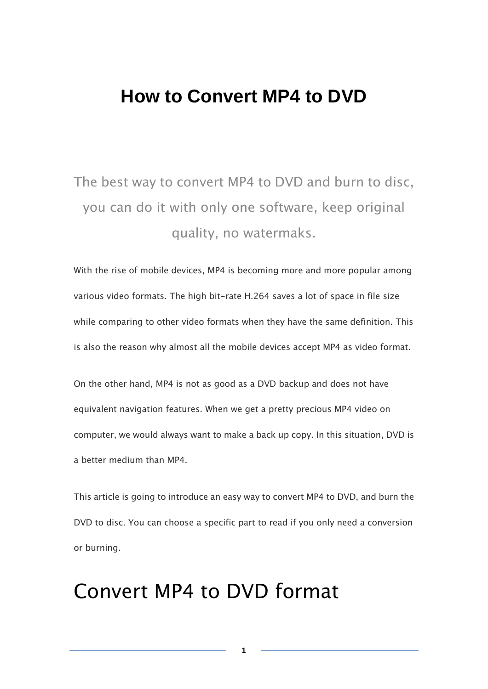# **How to Convert MP4 to DVD**

# The best way to convert MP4 to DVD and burn to disc, you can do it with only one software, keep original quality, no watermaks.

With the rise of mobile devices, MP4 is becoming more and more popular among various video formats. The high bit-rate H.264 saves a lot of space in file size while comparing to other video formats when they have the same definition. This is also the reason why almost all the mobile devices accept MP4 as video format.

On the other hand, MP4 is not as good as a DVD backup and does not have equivalent navigation features. When we get a pretty precious MP4 video on computer, we would always want to make a back up copy. In this situation, DVD is a better medium than MP4.

This article is going to introduce an easy way to convert MP4 to DVD, and burn the DVD to disc. You can choose a specific part to read if you only need a conversion or burning.

**1**

# Convert MP4 to DVD format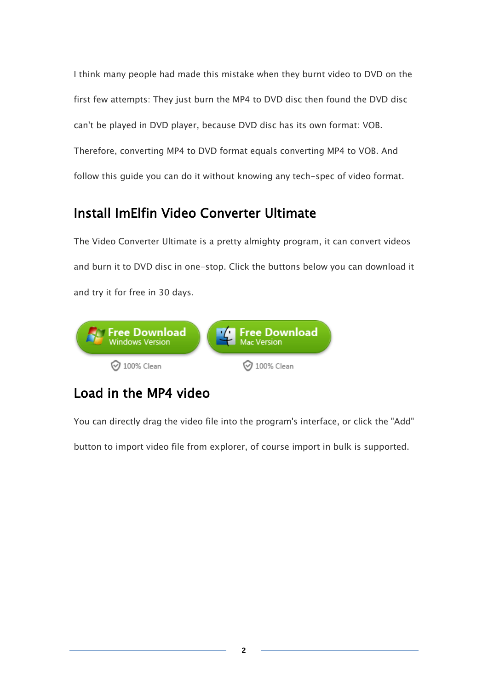I think many people had made this mistake when they burnt video to DVD on the first few attempts: They just burn the MP4 to DVD disc then found the DVD disc can't be played in DVD player, because DVD disc has its own format: VOB. Therefore, converting MP4 to DVD format equals converting MP4 to VOB. And follow this guide you can do it without knowing any tech-spec of video format.

# Install ImElfin Video Converter Ultimate

The Video Converter Ultimate is a pretty almighty program, it can convert videos and burn it to DVD disc in one-stop. Click the buttons below you can download it and try it for free in 30 days.



# Load in the MP4 video

You can directly drag the video file into the program's interface, or click the "Add"

button to import video file from explorer, of course import in bulk is supported.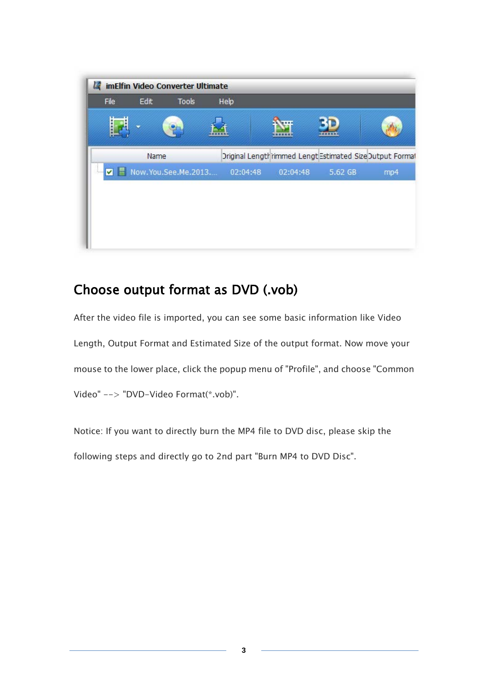

### Choose output format as DVD (.vob)

After the video file is imported, you can see some basic information like Video Length, Output Format and Estimated Size of the output format. Now move your mouse to the lower place, click the popup menu of "Profile", and choose "Common Video" --> "DVD-Video Format(\*.vob)".

Notice: If you want to directly burn the MP4 file to DVD disc, please skip the following steps and directly go to 2nd part "Burn MP4 to DVD Disc".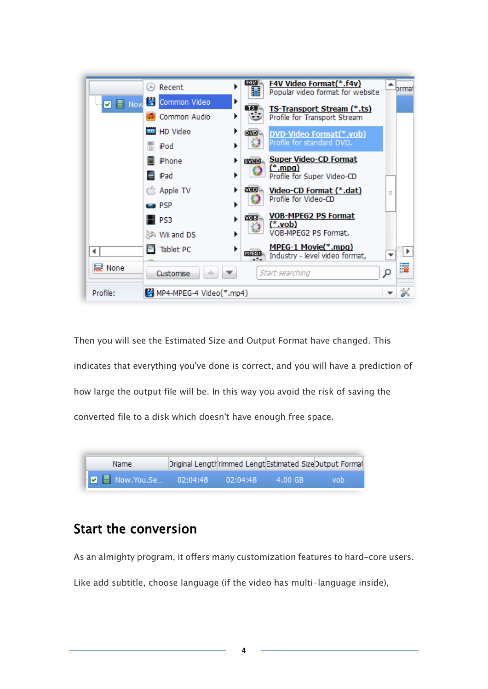

Then you will see the Estimated Size and Output Format have changed. This indicates that everything you've done is correct, and you will have a prediction of how large the output file will be. In this way you avoid the risk of saving the converted file to a disk which doesn't have enough free space.



#### Start the conversion

As an almighty program, it offers many customization features to hard-core users.

Like add subtitle, choose language (if the video has multi-language inside),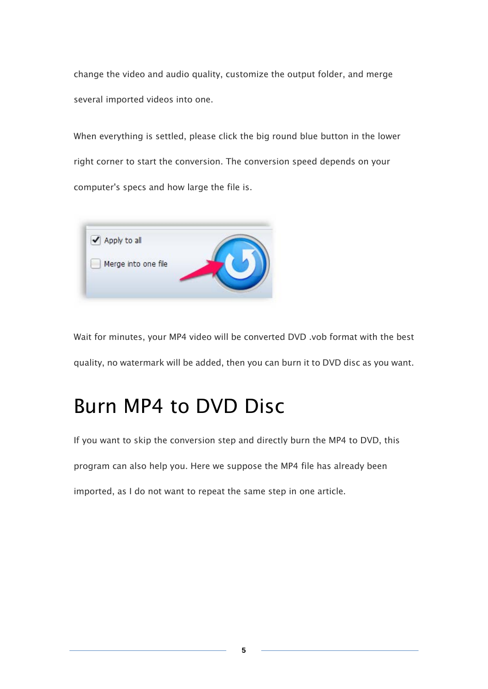change the video and audio quality, customize the output folder, and merge several imported videos into one.

When everything is settled, please click the big round blue button in the lower right corner to start the conversion. The conversion speed depends on your computer's specs and how large the file is.



Wait for minutes, your MP4 video will be converted DVD .vob format with the best quality, no watermark will be added, then you can burn it to DVD disc as you want.

# Burn MP4 to DVD Disc

If you want to skip the conversion step and directly burn the MP4 to DVD, this program can also help you. Here we suppose the MP4 file has already been imported, as I do not want to repeat the same step in one article.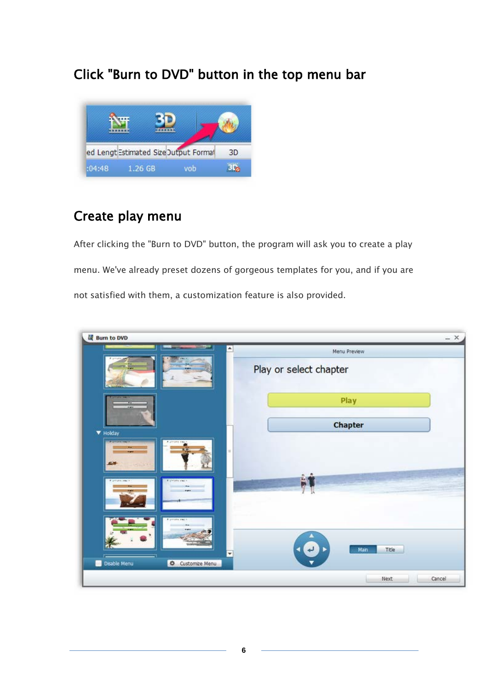#### Click "Burn to DVD" button in the top menu bar



#### Create play menu

After clicking the "Burn to DVD" button, the program will ask you to create a play menu. We've already preset dozens of gorgeous templates for you, and if you are not satisfied with them, a customization feature is also provided.

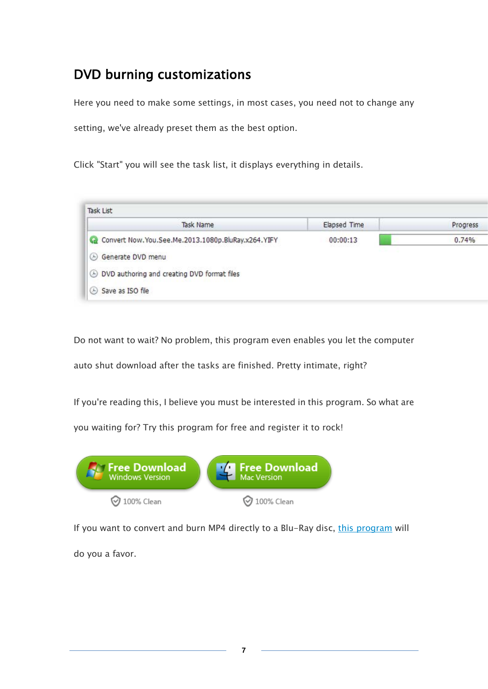# DVD burning customizations

Here you need to make some settings, in most cases, you need not to change any

setting, we've already preset them as the best option.

Click "Start" you will see the task list, it displays everything in details.



Do not want to wait? No problem, this program even enables you let the computer

auto shut download after the tasks are finished. Pretty intimate, right?

If you're reading this, I believe you must be interested in this program. So what are

you waiting for? Try this program for free and register it to rock!



If you want to convert and burn MP4 directly to a Blu-Ray disc, [this program](http://www.imelfin.com/total-media-converter.html) will

do you a favor.